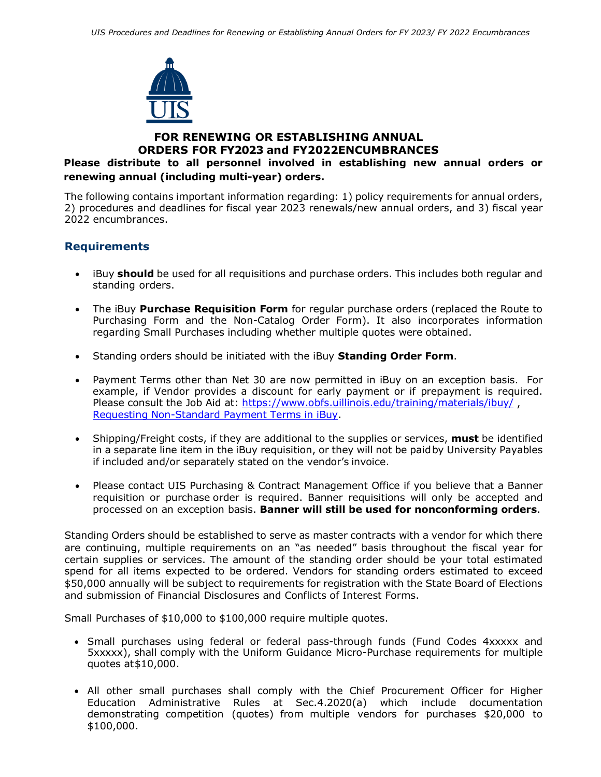

# **FOR RENEWING OR ESTABLISHING ANNUAL ORDERS FOR FY2023 and FY2022ENCUMBRANCES**

## **Please distribute to all personnel involved in establishing new annual orders or renewing annual (including multi-year) orders.**

The following contains important information regarding: 1) policy requirements for annual orders, 2) procedures and deadlines for fiscal year 2023 renewals/new annual orders, and 3) fiscal year 2022 encumbrances.

## **Requirements**

- iBuy **should** be used for all requisitions and purchase orders. This includes both regular and standing orders.
- The iBuy **Purchase Requisition Form** for regular purchase orders (replaced the Route to Purchasing Form and the Non-Catalog Order Form). It also incorporates information regarding Small Purchases including whether multiple quotes were obtained.
- Standing orders should be initiated with the iBuy **Standing Order Form**.
- Payment Terms other than Net 30 are now permitted in iBuy on an exception basis. For example, if Vendor provides a discount for early payment or if prepayment is required. Please consult the Job Aid at: <https://www.obfs.uillinois.edu/training/materials/ibuy/>, [Requesting Non-Standard Payment Terms in iBuy.](https://www.obfs.uillinois.edu/common/pages/DisplayFile.aspx?itemId=1495421)
- Shipping/Freight costs, if they are additional to the supplies or services, **must** be identified in a separate line item in the iBuy requisition, or they will not be paidby University Payables if included and/or separately stated on the vendor's invoice.
- Please contact UIS Purchasing & Contract Management Office if you believe that a Banner requisition or purchase order is required. Banner requisitions will only be accepted and processed on an exception basis. **Banner will still be used for nonconforming orders**.

Standing Orders should be established to serve as master contracts with a vendor for which there are continuing, multiple requirements on an "as needed" basis throughout the fiscal year for certain supplies or services. The amount of the standing order should be your total estimated spend for all items expected to be ordered. Vendors for standing orders estimated to exceed \$50,000 annually will be subject to requirements for registration with the State Board of Elections and submission of Financial Disclosures and Conflicts of Interest Forms.

Small Purchases of \$10,000 to \$100,000 require multiple quotes.

- Small purchases using federal or federal pass-through funds (Fund Codes 4xxxxx and 5xxxxx), shall comply with the Uniform Guidance Micro-Purchase requirements for multiple quotes at\$10,000.
- All other small purchases shall comply with the Chief Procurement Officer for Higher Education Administrative Rules at Sec.4.2020(a) which include documentation demonstrating competition (quotes) from multiple vendors for purchases \$20,000 to \$100,000.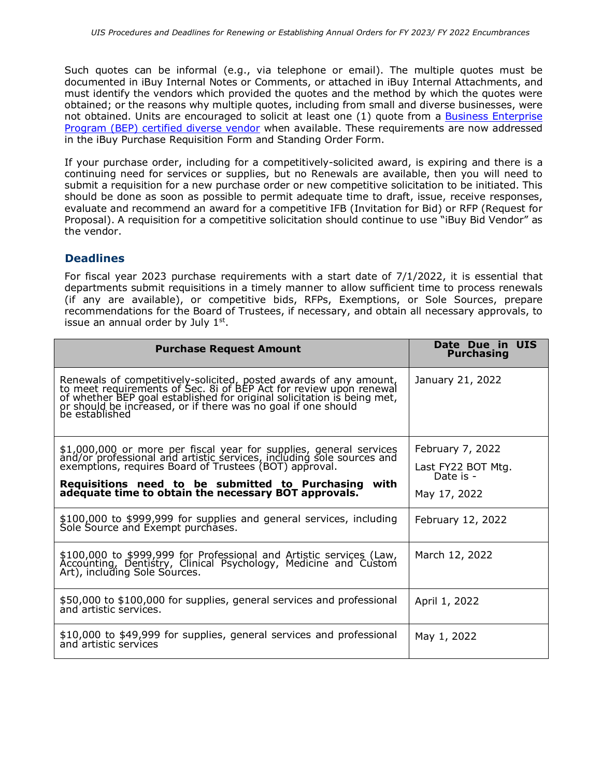Such quotes can be informal (e.g., via telephone or email). The multiple quotes must be documented in iBuy Internal Notes or Comments, or attached in iBuy Internal Attachments, and must identify the vendors which provided the quotes and the method by which the quotes were obtained; or the reasons why multiple quotes, including from small and diverse businesses, were not obtained. Units are encouraged to solicit at least one (1) quote from a [Business Enterprise](https://cms.diversitycompliance.com/FrontEnd/SearchCertifiedDirectory.asp?TN=cms&XID=8350) [Program \(BEP\) certified diverse vendor](https://cms.diversitycompliance.com/FrontEnd/SearchCertifiedDirectory.asp?TN=cms&XID=8350) when available. These requirements are now addressed in the iBuy Purchase Requisition Form and Standing Order Form.

If your purchase order, including for a competitively-solicited award, is expiring and there is a continuing need for services or supplies, but no Renewals are available, then you will need to submit a requisition for a new purchase order or new competitive solicitation to be initiated. This should be done as soon as possible to permit adequate time to draft, issue, receive responses, evaluate and recommend an award for a competitive IFB (Invitation for Bid) or RFP (Request for Proposal). A requisition for a competitive solicitation should continue to use "iBuy Bid Vendor" as the vendor.

## **Deadlines**

For fiscal year 2023 purchase requirements with a start date of 7/1/2022, it is essential that departments submit requisitions in a timely manner to allow sufficient time to process renewals (if any are available), or competitive bids, RFPs, Exemptions, or Sole Sources, prepare recommendations for the Board of Trustees, if necessary, and obtain all necessary approvals, to issue an annual order by July  $1<sup>st</sup>$ .

| <b>Purchase Request Amount</b>                                                                                                                                                                                                 | Date Due in UIS<br><b>Purchasing</b> |
|--------------------------------------------------------------------------------------------------------------------------------------------------------------------------------------------------------------------------------|--------------------------------------|
| Renewals of competitively-solicited, posted awards of any amount, to meet requirements of Sec. 8i of BEP Act for review upon renewal of whether BEP goal established for original solicitation is being met, or should be incr | January 21, 2022                     |
| \$1,000,000 or more per fiscal year for supplies, general services and/or professional and artistic services, including sole sources and exemptions, requires Board of Trustees (BOT) approval.                                | February 7, 2022                     |
|                                                                                                                                                                                                                                | Last FY22 BOT Mtg.<br>Date is -      |
| Requisitions need to be submitted to Purchasing with adequate time to obtain the necessary BOT approvals.                                                                                                                      | May 17, 2022                         |
| \$100,000 to \$999,999 for supplies and general services, including<br>Sole Source and Exempt purchases.                                                                                                                       | February 12, 2022                    |
| \$100,000 to \$999,999 for Professional and Artistic services (Law, Accounting, Dentistry, Clinical Psychology, Medicine and Custom Art), including Sole Sources.                                                              | March 12, 2022                       |
| \$50,000 to \$100,000 for supplies, general services and professional<br>and artistic services.                                                                                                                                | April 1, 2022                        |
| \$10,000 to \$49,999 for supplies, general services and professional<br>and artistic services                                                                                                                                  | May 1, 2022                          |